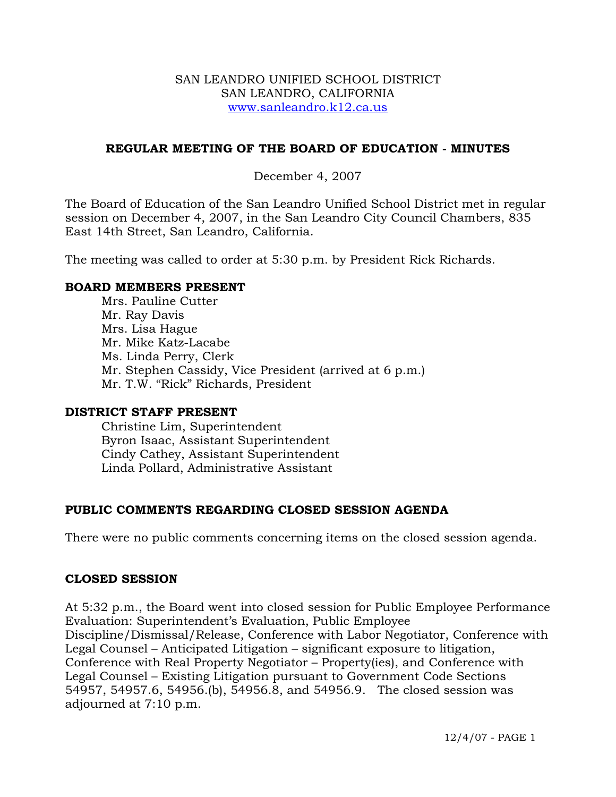### SAN LEANDRO UNIFIED SCHOOL DISTRICT SAN LEANDRO, CALIFORNIA www.sanleandro.k12.ca.us

## **REGULAR MEETING OF THE BOARD OF EDUCATION - MINUTES**

## December 4, 2007

The Board of Education of the San Leandro Unified School District met in regular session on December 4, 2007, in the San Leandro City Council Chambers, 835 East 14th Street, San Leandro, California.

The meeting was called to order at 5:30 p.m. by President Rick Richards.

### **BOARD MEMBERS PRESENT**

Mrs. Pauline Cutter Mr. Ray Davis Mrs. Lisa Hague Mr. Mike Katz-Lacabe Ms. Linda Perry, Clerk Mr. Stephen Cassidy, Vice President (arrived at 6 p.m.) Mr. T.W. "Rick" Richards, President

### **DISTRICT STAFF PRESENT**

Christine Lim, Superintendent Byron Isaac, Assistant Superintendent Cindy Cathey, Assistant Superintendent Linda Pollard, Administrative Assistant

# **PUBLIC COMMENTS REGARDING CLOSED SESSION AGENDA**

There were no public comments concerning items on the closed session agenda.

### **CLOSED SESSION**

At 5:32 p.m., the Board went into closed session for Public Employee Performance Evaluation: Superintendent's Evaluation, Public Employee Discipline/Dismissal/Release, Conference with Labor Negotiator, Conference with Legal Counsel – Anticipated Litigation – significant exposure to litigation, Conference with Real Property Negotiator – Property(ies), and Conference with Legal Counsel – Existing Litigation pursuant to Government Code Sections 54957, 54957.6, 54956.(b), 54956.8, and 54956.9. The closed session was adjourned at 7:10 p.m.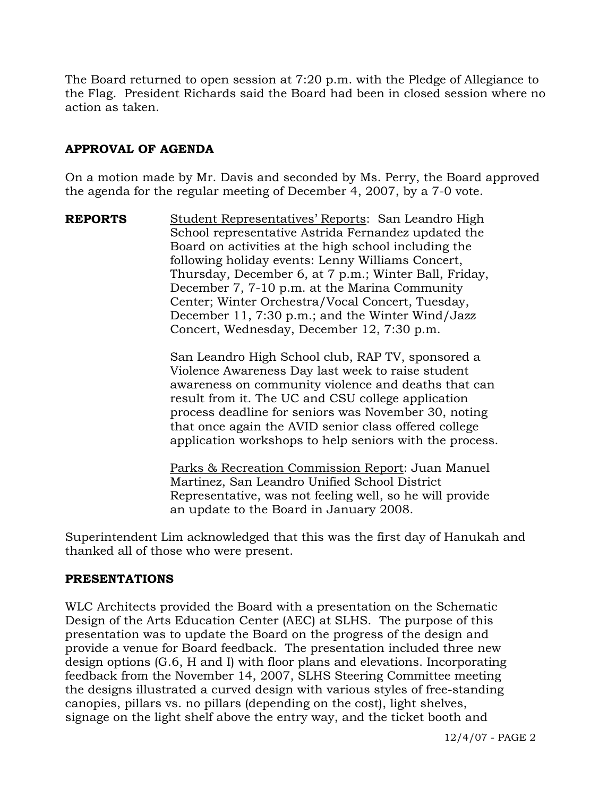The Board returned to open session at 7:20 p.m. with the Pledge of Allegiance to the Flag. President Richards said the Board had been in closed session where no action as taken.

# **APPROVAL OF AGENDA**

On a motion made by Mr. Davis and seconded by Ms. Perry, the Board approved the agenda for the regular meeting of December 4, 2007, by a 7-0 vote.

**REPORTS** Student Representatives' Reports: San Leandro High School representative Astrida Fernandez updated the Board on activities at the high school including the following holiday events: Lenny Williams Concert, Thursday, December 6, at 7 p.m.; Winter Ball, Friday, December 7, 7-10 p.m. at the Marina Community Center; Winter Orchestra/Vocal Concert, Tuesday, December 11, 7:30 p.m.; and the Winter Wind/Jazz Concert, Wednesday, December 12, 7:30 p.m.

> San Leandro High School club, RAP TV, sponsored a Violence Awareness Day last week to raise student awareness on community violence and deaths that can result from it. The UC and CSU college application process deadline for seniors was November 30, noting that once again the AVID senior class offered college application workshops to help seniors with the process.

 Parks & Recreation Commission Report: Juan Manuel Martinez, San Leandro Unified School District Representative, was not feeling well, so he will provide an update to the Board in January 2008.

Superintendent Lim acknowledged that this was the first day of Hanukah and thanked all of those who were present.

### **PRESENTATIONS**

WLC Architects provided the Board with a presentation on the Schematic Design of the Arts Education Center (AEC) at SLHS. The purpose of this presentation was to update the Board on the progress of the design and provide a venue for Board feedback. The presentation included three new design options (G.6, H and I) with floor plans and elevations. Incorporating feedback from the November 14, 2007, SLHS Steering Committee meeting the designs illustrated a curved design with various styles of free-standing canopies, pillars vs. no pillars (depending on the cost), light shelves, signage on the light shelf above the entry way, and the ticket booth and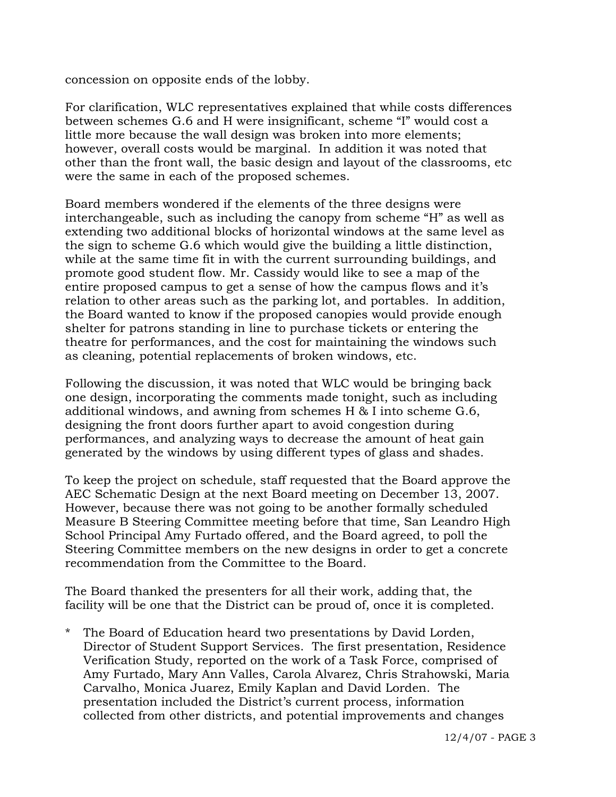concession on opposite ends of the lobby.

For clarification, WLC representatives explained that while costs differences between schemes G.6 and H were insignificant, scheme "I" would cost a little more because the wall design was broken into more elements; however, overall costs would be marginal. In addition it was noted that other than the front wall, the basic design and layout of the classrooms, etc were the same in each of the proposed schemes.

Board members wondered if the elements of the three designs were interchangeable, such as including the canopy from scheme "H" as well as extending two additional blocks of horizontal windows at the same level as the sign to scheme G.6 which would give the building a little distinction, while at the same time fit in with the current surrounding buildings, and promote good student flow. Mr. Cassidy would like to see a map of the entire proposed campus to get a sense of how the campus flows and it's relation to other areas such as the parking lot, and portables. In addition, the Board wanted to know if the proposed canopies would provide enough shelter for patrons standing in line to purchase tickets or entering the theatre for performances, and the cost for maintaining the windows such as cleaning, potential replacements of broken windows, etc.

Following the discussion, it was noted that WLC would be bringing back one design, incorporating the comments made tonight, such as including additional windows, and awning from schemes H & I into scheme G.6, designing the front doors further apart to avoid congestion during performances, and analyzing ways to decrease the amount of heat gain generated by the windows by using different types of glass and shades.

To keep the project on schedule, staff requested that the Board approve the AEC Schematic Design at the next Board meeting on December 13, 2007. However, because there was not going to be another formally scheduled Measure B Steering Committee meeting before that time, San Leandro High School Principal Amy Furtado offered, and the Board agreed, to poll the Steering Committee members on the new designs in order to get a concrete recommendation from the Committee to the Board.

The Board thanked the presenters for all their work, adding that, the facility will be one that the District can be proud of, once it is completed.

\* The Board of Education heard two presentations by David Lorden, Director of Student Support Services. The first presentation, Residence Verification Study, reported on the work of a Task Force, comprised of Amy Furtado, Mary Ann Valles, Carola Alvarez, Chris Strahowski, Maria Carvalho, Monica Juarez, Emily Kaplan and David Lorden. The presentation included the District's current process, information collected from other districts, and potential improvements and changes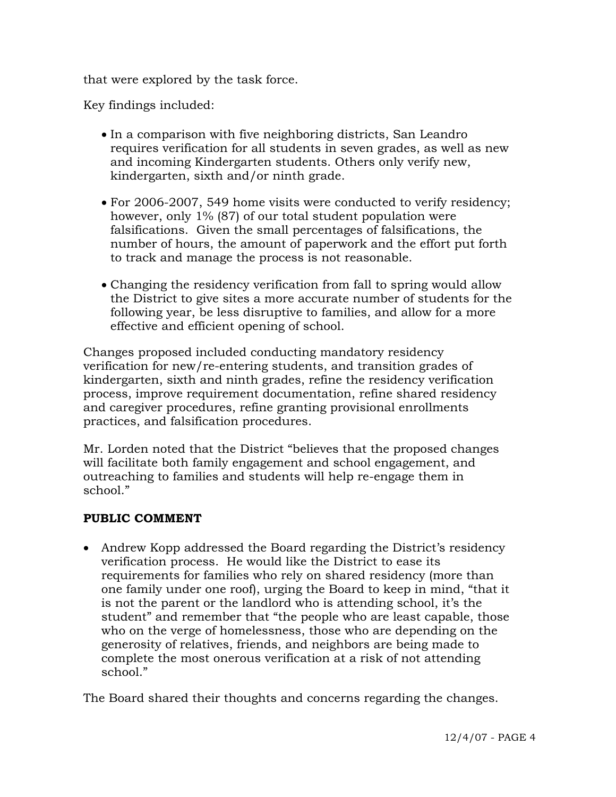that were explored by the task force.

Key findings included:

- In a comparison with five neighboring districts, San Leandro requires verification for all students in seven grades, as well as new and incoming Kindergarten students. Others only verify new, kindergarten, sixth and/or ninth grade.
- For 2006-2007, 549 home visits were conducted to verify residency; however, only 1% (87) of our total student population were falsifications. Given the small percentages of falsifications, the number of hours, the amount of paperwork and the effort put forth to track and manage the process is not reasonable.
- Changing the residency verification from fall to spring would allow the District to give sites a more accurate number of students for the following year, be less disruptive to families, and allow for a more effective and efficient opening of school.

 Changes proposed included conducting mandatory residency verification for new/re-entering students, and transition grades of kindergarten, sixth and ninth grades, refine the residency verification process, improve requirement documentation, refine shared residency and caregiver procedures, refine granting provisional enrollments practices, and falsification procedures.

 Mr. Lorden noted that the District "believes that the proposed changes will facilitate both family engagement and school engagement, and outreaching to families and students will help re-engage them in school."

# **PUBLIC COMMENT**

• Andrew Kopp addressed the Board regarding the District's residency verification process. He would like the District to ease its requirements for families who rely on shared residency (more than one family under one roof), urging the Board to keep in mind, "that it is not the parent or the landlord who is attending school, it's the student" and remember that "the people who are least capable, those who on the verge of homelessness, those who are depending on the generosity of relatives, friends, and neighbors are being made to complete the most onerous verification at a risk of not attending school."

The Board shared their thoughts and concerns regarding the changes.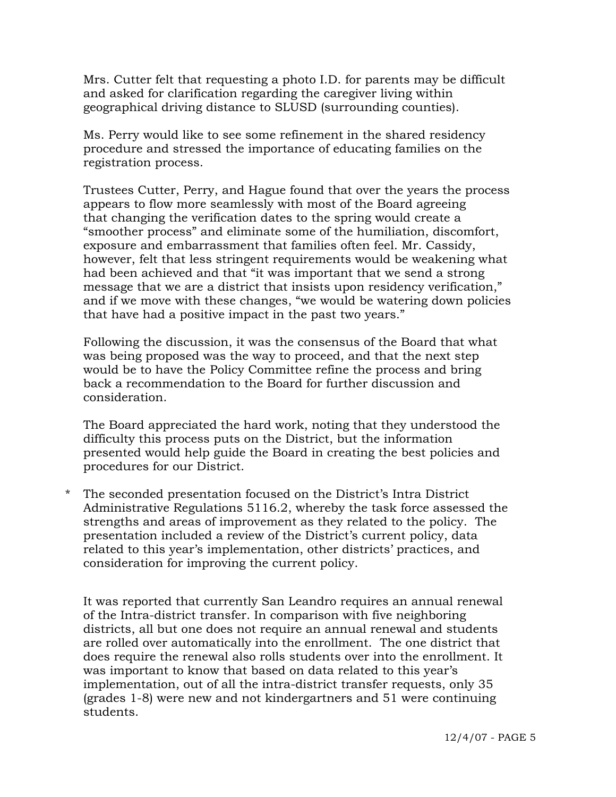Mrs. Cutter felt that requesting a photo I.D. for parents may be difficult and asked for clarification regarding the caregiver living within geographical driving distance to SLUSD (surrounding counties).

 Ms. Perry would like to see some refinement in the shared residency procedure and stressed the importance of educating families on the registration process.

 Trustees Cutter, Perry, and Hague found that over the years the process appears to flow more seamlessly with most of the Board agreeing that changing the verification dates to the spring would create a "smoother process" and eliminate some of the humiliation, discomfort, exposure and embarrassment that families often feel. Mr. Cassidy, however, felt that less stringent requirements would be weakening what had been achieved and that "it was important that we send a strong message that we are a district that insists upon residency verification," and if we move with these changes, "we would be watering down policies that have had a positive impact in the past two years."

 Following the discussion, it was the consensus of the Board that what was being proposed was the way to proceed, and that the next step would be to have the Policy Committee refine the process and bring back a recommendation to the Board for further discussion and consideration.

 The Board appreciated the hard work, noting that they understood the difficulty this process puts on the District, but the information presented would help guide the Board in creating the best policies and procedures for our District.

\* The seconded presentation focused on the District's Intra District Administrative Regulations 5116.2, whereby the task force assessed the strengths and areas of improvement as they related to the policy. The presentation included a review of the District's current policy, data related to this year's implementation, other districts' practices, and consideration for improving the current policy.

It was reported that currently San Leandro requires an annual renewal of the Intra-district transfer. In comparison with five neighboring districts, all but one does not require an annual renewal and students are rolled over automatically into the enrollment. The one district that does require the renewal also rolls students over into the enrollment. It was important to know that based on data related to this year's implementation, out of all the intra-district transfer requests, only 35 (grades 1-8) were new and not kindergartners and 51 were continuing students.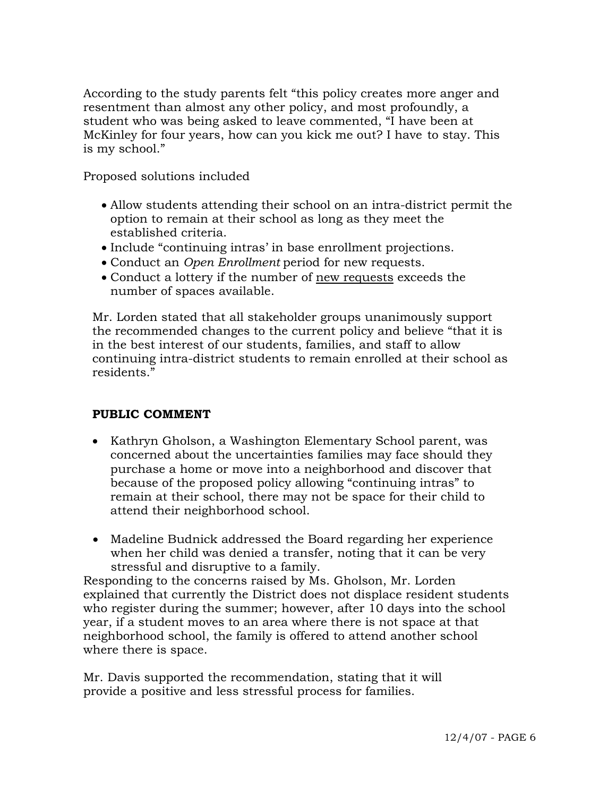According to the study parents felt "this policy creates more anger and resentment than almost any other policy, and most profoundly, a student who was being asked to leave commented, "I have been at McKinley for four years, how can you kick me out? I have to stay. This is my school."

Proposed solutions included

- Allow students attending their school on an intra-district permit the option to remain at their school as long as they meet the established criteria.
- Include "continuing intras' in base enrollment projections.
- Conduct an *Open Enrollment* period for new requests.
- Conduct a lottery if the number of new requests exceeds the number of spaces available.

 Mr. Lorden stated that all stakeholder groups unanimously support the recommended changes to the current policy and believe "that it is in the best interest of our students, families, and staff to allow continuing intra-district students to remain enrolled at their school as residents."

### **PUBLIC COMMENT**

- Kathryn Gholson, a Washington Elementary School parent, was concerned about the uncertainties families may face should they purchase a home or move into a neighborhood and discover that because of the proposed policy allowing "continuing intras" to remain at their school, there may not be space for their child to attend their neighborhood school.
- Madeline Budnick addressed the Board regarding her experience when her child was denied a transfer, noting that it can be very stressful and disruptive to a family.

Responding to the concerns raised by Ms. Gholson, Mr. Lorden explained that currently the District does not displace resident students who register during the summer; however, after 10 days into the school year, if a student moves to an area where there is not space at that neighborhood school, the family is offered to attend another school where there is space.

 Mr. Davis supported the recommendation, stating that it will provide a positive and less stressful process for families.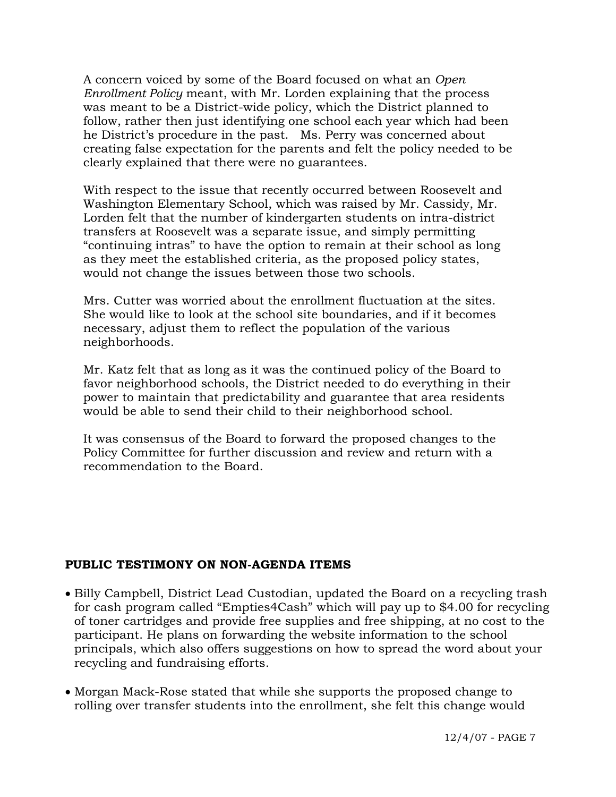A concern voiced by some of the Board focused on what an *Open Enrollment Policy* meant, with Mr. Lorden explaining that the process was meant to be a District-wide policy, which the District planned to follow, rather then just identifying one school each year which had been he District's procedure in the past. Ms. Perry was concerned about creating false expectation for the parents and felt the policy needed to be clearly explained that there were no guarantees.

 With respect to the issue that recently occurred between Roosevelt and Washington Elementary School, which was raised by Mr. Cassidy, Mr. Lorden felt that the number of kindergarten students on intra-district transfers at Roosevelt was a separate issue, and simply permitting "continuing intras" to have the option to remain at their school as long as they meet the established criteria, as the proposed policy states, would not change the issues between those two schools.

 Mrs. Cutter was worried about the enrollment fluctuation at the sites. She would like to look at the school site boundaries, and if it becomes necessary, adjust them to reflect the population of the various neighborhoods.

 Mr. Katz felt that as long as it was the continued policy of the Board to favor neighborhood schools, the District needed to do everything in their power to maintain that predictability and guarantee that area residents would be able to send their child to their neighborhood school.

 It was consensus of the Board to forward the proposed changes to the Policy Committee for further discussion and review and return with a recommendation to the Board.

### **PUBLIC TESTIMONY ON NON-AGENDA ITEMS**

- Billy Campbell, District Lead Custodian, updated the Board on a recycling trash for cash program called "Empties4Cash" which will pay up to \$4.00 for recycling of toner cartridges and provide free supplies and free shipping, at no cost to the participant. He plans on forwarding the website information to the school principals, which also offers suggestions on how to spread the word about your recycling and fundraising efforts.
- Morgan Mack-Rose stated that while she supports the proposed change to rolling over transfer students into the enrollment, she felt this change would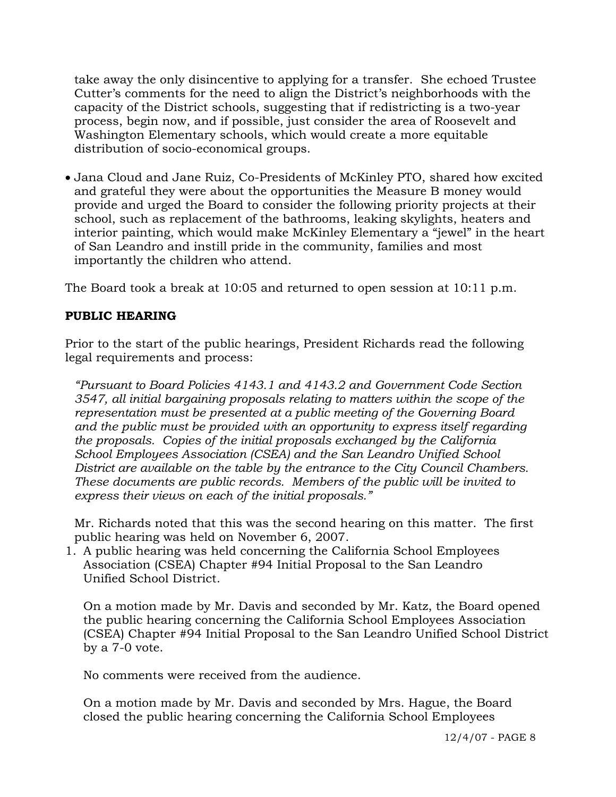take away the only disincentive to applying for a transfer. She echoed Trustee Cutter's comments for the need to align the District's neighborhoods with the capacity of the District schools, suggesting that if redistricting is a two-year process, begin now, and if possible, just consider the area of Roosevelt and Washington Elementary schools, which would create a more equitable distribution of socio-economical groups.

• Jana Cloud and Jane Ruiz, Co-Presidents of McKinley PTO, shared how excited and grateful they were about the opportunities the Measure B money would provide and urged the Board to consider the following priority projects at their school, such as replacement of the bathrooms, leaking skylights, heaters and interior painting, which would make McKinley Elementary a "jewel" in the heart of San Leandro and instill pride in the community, families and most importantly the children who attend.

The Board took a break at 10:05 and returned to open session at 10:11 p.m.

# **PUBLIC HEARING**

Prior to the start of the public hearings, President Richards read the following legal requirements and process:

*"Pursuant to Board Policies 4143.1 and 4143.2 and Government Code Section 3547, all initial bargaining proposals relating to matters within the scope of the representation must be presented at a public meeting of the Governing Board and the public must be provided with an opportunity to express itself regarding the proposals. Copies of the initial proposals exchanged by the California School Employees Association (CSEA) and the San Leandro Unified School District are available on the table by the entrance to the City Council Chambers. These documents are public records. Members of the public will be invited to express their views on each of the initial proposals."* 

Mr. Richards noted that this was the second hearing on this matter. The first public hearing was held on November 6, 2007.

1. A public hearing was held concerning the California School Employees Association (CSEA) Chapter #94 Initial Proposal to the San Leandro Unified School District.

On a motion made by Mr. Davis and seconded by Mr. Katz, the Board opened the public hearing concerning the California School Employees Association (CSEA) Chapter #94 Initial Proposal to the San Leandro Unified School District by a 7-0 vote.

No comments were received from the audience.

On a motion made by Mr. Davis and seconded by Mrs. Hague, the Board closed the public hearing concerning the California School Employees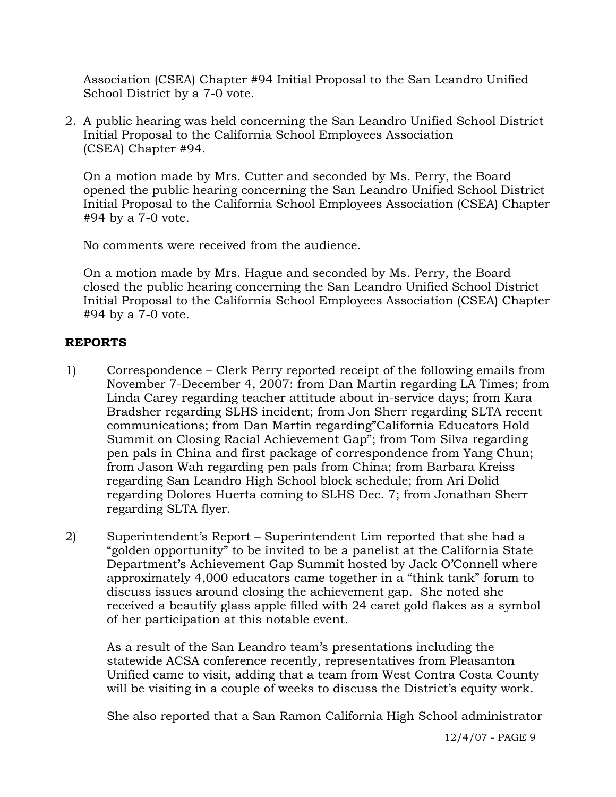Association (CSEA) Chapter #94 Initial Proposal to the San Leandro Unified School District by a 7-0 vote.

2. A public hearing was held concerning the San Leandro Unified School District Initial Proposal to the California School Employees Association (CSEA) Chapter #94.

On a motion made by Mrs. Cutter and seconded by Ms. Perry, the Board opened the public hearing concerning the San Leandro Unified School District Initial Proposal to the California School Employees Association (CSEA) Chapter #94 by a 7-0 vote.

No comments were received from the audience.

On a motion made by Mrs. Hague and seconded by Ms. Perry, the Board closed the public hearing concerning the San Leandro Unified School District Initial Proposal to the California School Employees Association (CSEA) Chapter #94 by a 7-0 vote.

# **REPORTS**

- 1) Correspondence Clerk Perry reported receipt of the following emails from November 7-December 4, 2007: from Dan Martin regarding LA Times; from Linda Carey regarding teacher attitude about in-service days; from Kara Bradsher regarding SLHS incident; from Jon Sherr regarding SLTA recent communications; from Dan Martin regarding"California Educators Hold Summit on Closing Racial Achievement Gap"; from Tom Silva regarding pen pals in China and first package of correspondence from Yang Chun; from Jason Wah regarding pen pals from China; from Barbara Kreiss regarding San Leandro High School block schedule; from Ari Dolid regarding Dolores Huerta coming to SLHS Dec. 7; from Jonathan Sherr regarding SLTA flyer.
- 2) Superintendent's Report Superintendent Lim reported that she had a "golden opportunity" to be invited to be a panelist at the California State Department's Achievement Gap Summit hosted by Jack O'Connell where approximately 4,000 educators came together in a "think tank" forum to discuss issues around closing the achievement gap. She noted she received a beautify glass apple filled with 24 caret gold flakes as a symbol of her participation at this notable event.

As a result of the San Leandro team's presentations including the statewide ACSA conference recently, representatives from Pleasanton Unified came to visit, adding that a team from West Contra Costa County will be visiting in a couple of weeks to discuss the District's equity work.

She also reported that a San Ramon California High School administrator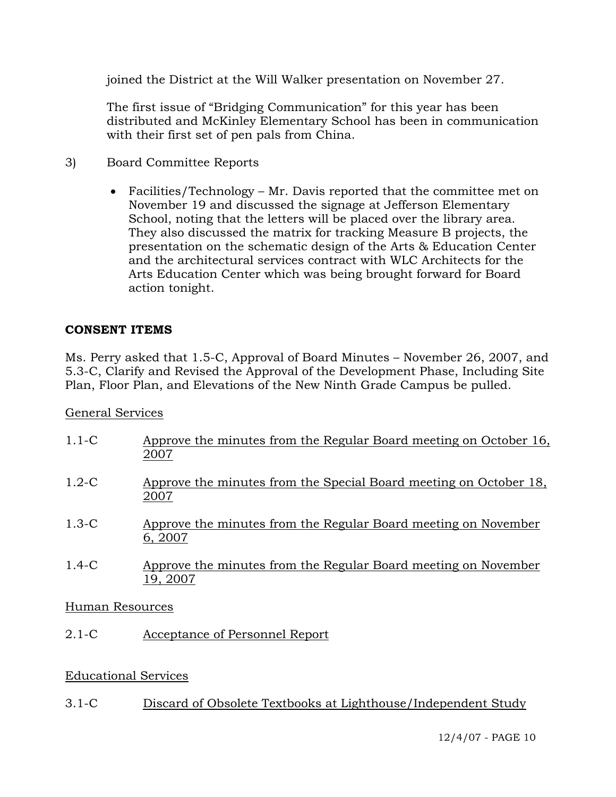joined the District at the Will Walker presentation on November 27.

The first issue of "Bridging Communication" for this year has been distributed and McKinley Elementary School has been in communication with their first set of pen pals from China.

- 3) Board Committee Reports
	- Facilities/Technology Mr. Davis reported that the committee met on November 19 and discussed the signage at Jefferson Elementary School, noting that the letters will be placed over the library area. They also discussed the matrix for tracking Measure B projects, the presentation on the schematic design of the Arts & Education Center and the architectural services contract with WLC Architects for the Arts Education Center which was being brought forward for Board action tonight.

# **CONSENT ITEMS**

Ms. Perry asked that 1.5-C, Approval of Board Minutes – November 26, 2007, and 5.3-C, Clarify and Revised the Approval of the Development Phase, Including Site Plan, Floor Plan, and Elevations of the New Ninth Grade Campus be pulled.

# General Services

| $1.1-C$ | Approve the minutes from the Regular Board meeting on October 16,<br>2007  |
|---------|----------------------------------------------------------------------------|
| $1.2-C$ | Approve the minutes from the Special Board meeting on October 18,<br>2007  |
| $1.3-C$ | Approve the minutes from the Regular Board meeting on November<br>6, 2007  |
| $1.4-C$ | Approve the minutes from the Regular Board meeting on November<br>19, 2007 |

# Human Resources

2.1-C Acceptance of Personnel Report

# Educational Services

3.1-C Discard of Obsolete Textbooks at Lighthouse/Independent Study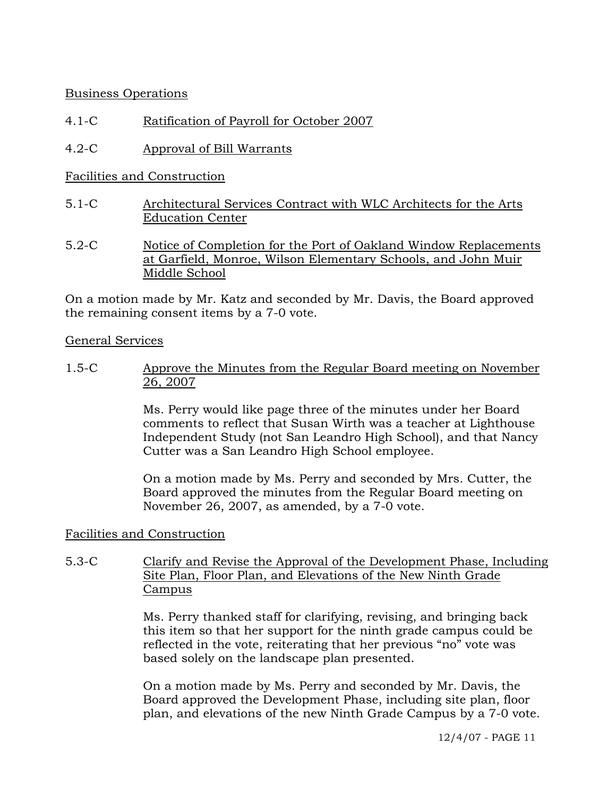# Business Operations

# 4.1-C Ratification of Payroll for October 2007

4.2-C Approval of Bill Warrants

# Facilities and Construction

- 5.1-C Architectural Services Contract with WLC Architects for the Arts Education Center
- 5.2-C Notice of Completion for the Port of Oakland Window Replacements at Garfield, Monroe, Wilson Elementary Schools, and John Muir Middle School

On a motion made by Mr. Katz and seconded by Mr. Davis, the Board approved the remaining consent items by a 7-0 vote.

## General Services

1.5-C Approve the Minutes from the Regular Board meeting on November 26, 2007

> Ms. Perry would like page three of the minutes under her Board comments to reflect that Susan Wirth was a teacher at Lighthouse Independent Study (not San Leandro High School), and that Nancy Cutter was a San Leandro High School employee.

On a motion made by Ms. Perry and seconded by Mrs. Cutter, the Board approved the minutes from the Regular Board meeting on November 26, 2007, as amended, by a 7-0 vote.

# Facilities and Construction

# 5.3-C Clarify and Revise the Approval of the Development Phase, Including Site Plan, Floor Plan, and Elevations of the New Ninth Grade Campus

Ms. Perry thanked staff for clarifying, revising, and bringing back this item so that her support for the ninth grade campus could be reflected in the vote, reiterating that her previous "no" vote was based solely on the landscape plan presented.

On a motion made by Ms. Perry and seconded by Mr. Davis, the Board approved the Development Phase, including site plan, floor plan, and elevations of the new Ninth Grade Campus by a 7-0 vote.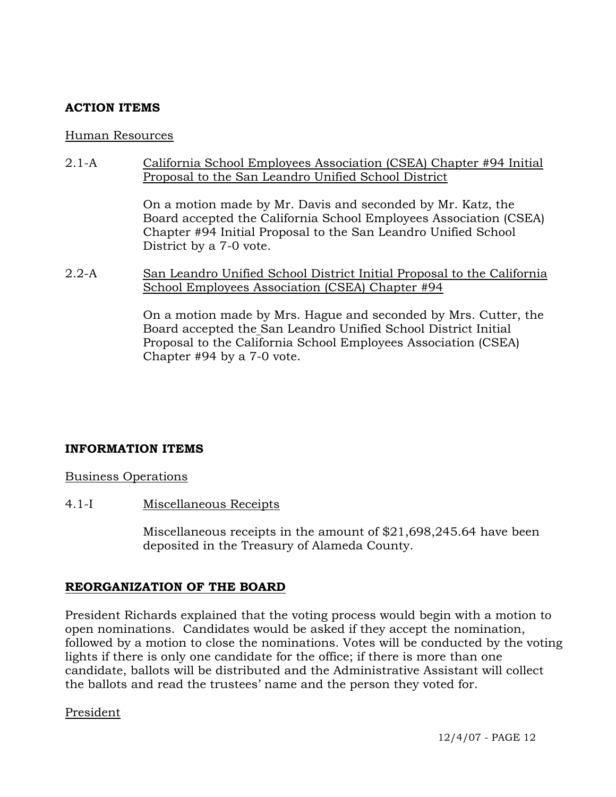# **ACTION ITEMS**

### Human Resources

2.1-A California School Employees Association (CSEA) Chapter #94 Initial Proposal to the San Leandro Unified School District

> On a motion made by Mr. Davis and seconded by Mr. Katz, the Board accepted the California School Employees Association (CSEA) Chapter #94 Initial Proposal to the San Leandro Unified School District by a 7-0 vote.

2.2-A San Leandro Unified School District Initial Proposal to the California School Employees Association (CSEA) Chapter #94

> On a motion made by Mrs. Hague and seconded by Mrs. Cutter, the Board accepted the San Leandro Unified School District Initial Proposal to the California School Employees Association (CSEA) Chapter #94 by a 7-0 vote.

# **INFORMATION ITEMS**

Business Operations

4.1-I Miscellaneous Receipts

Miscellaneous receipts in the amount of \$21,698,245.64 have been deposited in the Treasury of Alameda County.

# **REORGANIZATION OF THE BOARD**

President Richards explained that the voting process would begin with a motion to open nominations. Candidates would be asked if they accept the nomination, followed by a motion to close the nominations. Votes will be conducted by the voting lights if there is only one candidate for the office; if there is more than one candidate, ballots will be distributed and the Administrative Assistant will collect the ballots and read the trustees' name and the person they voted for.

### President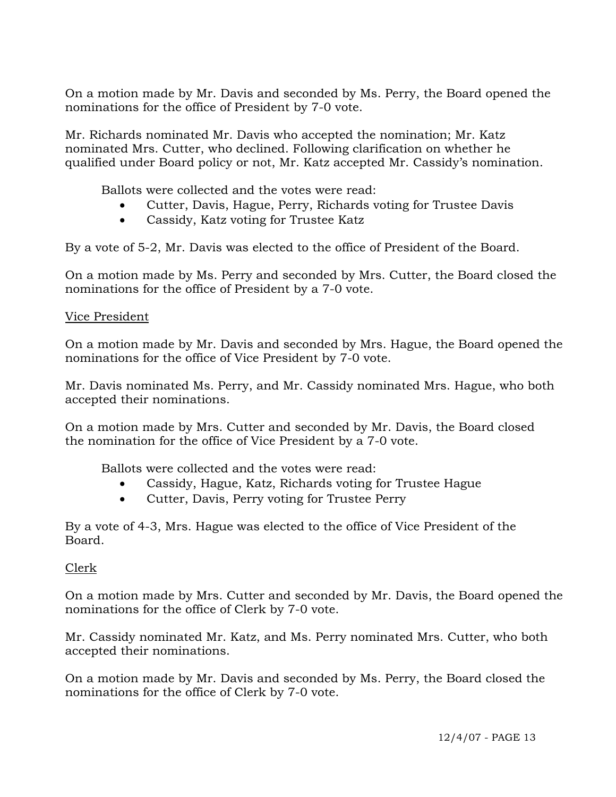On a motion made by Mr. Davis and seconded by Ms. Perry, the Board opened the nominations for the office of President by 7-0 vote.

Mr. Richards nominated Mr. Davis who accepted the nomination; Mr. Katz nominated Mrs. Cutter, who declined. Following clarification on whether he qualified under Board policy or not, Mr. Katz accepted Mr. Cassidy's nomination.

Ballots were collected and the votes were read:

- Cutter, Davis, Hague, Perry, Richards voting for Trustee Davis
- Cassidy, Katz voting for Trustee Katz

By a vote of 5-2, Mr. Davis was elected to the office of President of the Board.

On a motion made by Ms. Perry and seconded by Mrs. Cutter, the Board closed the nominations for the office of President by a 7-0 vote.

# Vice President

On a motion made by Mr. Davis and seconded by Mrs. Hague, the Board opened the nominations for the office of Vice President by 7-0 vote.

Mr. Davis nominated Ms. Perry, and Mr. Cassidy nominated Mrs. Hague, who both accepted their nominations.

On a motion made by Mrs. Cutter and seconded by Mr. Davis, the Board closed the nomination for the office of Vice President by a 7-0 vote.

Ballots were collected and the votes were read:

- Cassidy, Hague, Katz, Richards voting for Trustee Hague
- Cutter, Davis, Perry voting for Trustee Perry

By a vote of 4-3, Mrs. Hague was elected to the office of Vice President of the Board.

# Clerk

On a motion made by Mrs. Cutter and seconded by Mr. Davis, the Board opened the nominations for the office of Clerk by 7-0 vote.

Mr. Cassidy nominated Mr. Katz, and Ms. Perry nominated Mrs. Cutter, who both accepted their nominations.

On a motion made by Mr. Davis and seconded by Ms. Perry, the Board closed the nominations for the office of Clerk by 7-0 vote.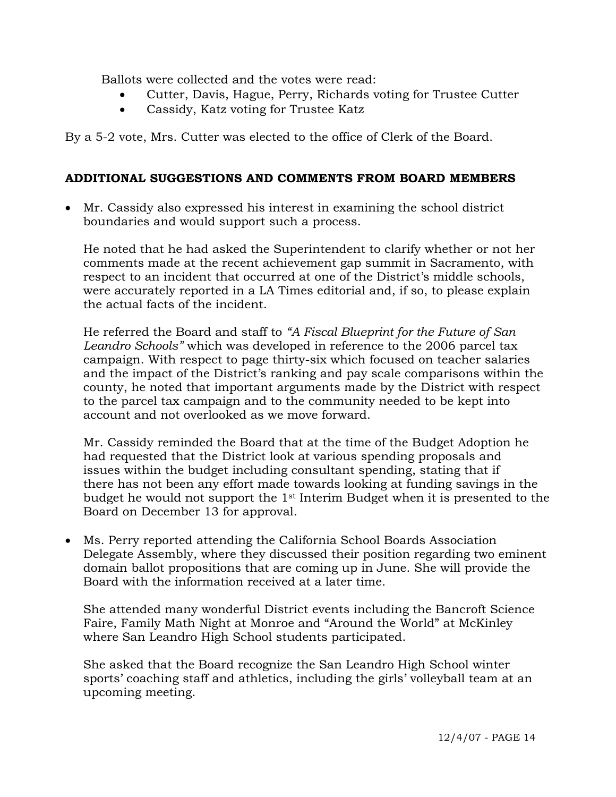Ballots were collected and the votes were read:

- Cutter, Davis, Hague, Perry, Richards voting for Trustee Cutter
- Cassidy, Katz voting for Trustee Katz

By a 5-2 vote, Mrs. Cutter was elected to the office of Clerk of the Board.

# **ADDITIONAL SUGGESTIONS AND COMMENTS FROM BOARD MEMBERS**

• Mr. Cassidy also expressed his interest in examining the school district boundaries and would support such a process.

 He noted that he had asked the Superintendent to clarify whether or not her comments made at the recent achievement gap summit in Sacramento, with respect to an incident that occurred at one of the District's middle schools, were accurately reported in a LA Times editorial and, if so, to please explain the actual facts of the incident.

 He referred the Board and staff to *"A Fiscal Blueprint for the Future of San Leandro Schools"* which was developed in reference to the 2006 parcel tax campaign. With respect to page thirty-six which focused on teacher salaries and the impact of the District's ranking and pay scale comparisons within the county, he noted that important arguments made by the District with respect to the parcel tax campaign and to the community needed to be kept into account and not overlooked as we move forward.

 Mr. Cassidy reminded the Board that at the time of the Budget Adoption he had requested that the District look at various spending proposals and issues within the budget including consultant spending, stating that if there has not been any effort made towards looking at funding savings in the budget he would not support the 1st Interim Budget when it is presented to the Board on December 13 for approval.

• Ms. Perry reported attending the California School Boards Association Delegate Assembly, where they discussed their position regarding two eminent domain ballot propositions that are coming up in June. She will provide the Board with the information received at a later time.

 She attended many wonderful District events including the Bancroft Science Faire, Family Math Night at Monroe and "Around the World" at McKinley where San Leandro High School students participated.

 She asked that the Board recognize the San Leandro High School winter sports' coaching staff and athletics, including the girls' volleyball team at an upcoming meeting.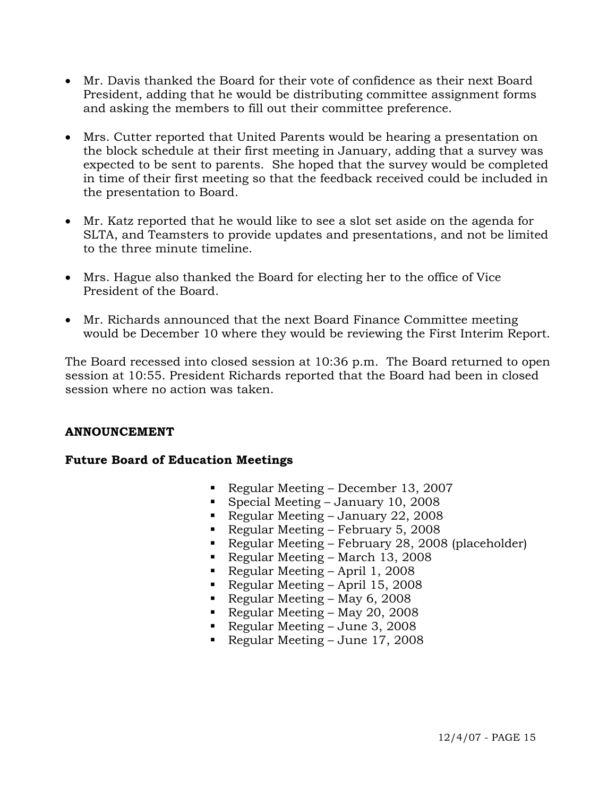- Mr. Davis thanked the Board for their vote of confidence as their next Board President, adding that he would be distributing committee assignment forms and asking the members to fill out their committee preference.
- Mrs. Cutter reported that United Parents would be hearing a presentation on the block schedule at their first meeting in January, adding that a survey was expected to be sent to parents. She hoped that the survey would be completed in time of their first meeting so that the feedback received could be included in the presentation to Board.
- Mr. Katz reported that he would like to see a slot set aside on the agenda for SLTA, and Teamsters to provide updates and presentations, and not be limited to the three minute timeline.
- Mrs. Hague also thanked the Board for electing her to the office of Vice President of the Board.
- Mr. Richards announced that the next Board Finance Committee meeting would be December 10 where they would be reviewing the First Interim Report.

The Board recessed into closed session at 10:36 p.m. The Board returned to open session at 10:55. President Richards reported that the Board had been in closed session where no action was taken.

# **ANNOUNCEMENT**

# **Future Board of Education Meetings**

- Regular Meeting December 13, 2007
- Special Meeting January 10, 2008
- Regular Meeting January 22, 2008
- Regular Meeting February 5, 2008
- Regular Meeting February 28, 2008 (placeholder)
- Regular Meeting March 13, 2008
- Regular Meeting April 1, 2008
- Regular Meeting April 15, 2008
- Regular Meeting May 6, 2008
- Regular Meeting May 20, 2008
- Regular Meeting June 3, 2008
- Regular Meeting June 17, 2008